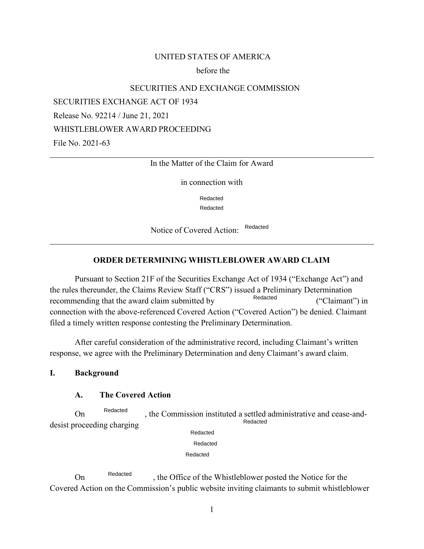### UNITED STATES OF AMERICA

#### before the

### SECURITIES AND EXCHANGE COMMISSION

SECURITIES EXCHANGE ACT OF 1934

Release No. 92214 / June 21, 2021

WHISTLEBLOWER AWARD PROCEEDING

File No. 2021-63

#### In the Matter of the Claim for Award

in connection with

Redacted Redacted

 Notice of Covered Action: Redacted

#### **ORDER DETERMINING WHISTLEBLOWER AWARD CLAIM**

 connection with the above-referenced Covered Action ("Covered Action") be denied. Claimant filed a timely written response contesting the Preliminary Determination. Pursuant to Section 21F of the Securities Exchange Act of 1934 ("Exchange Act") and the rules thereunder, the Claims Review Staff ("CRS") issued a Preliminary Determination Redacted recommending that the award claim submitted by Represent Recommending that the award claim submitted by

 response, we agree with the Preliminary Determination and deny Claimant's award claim. After careful consideration of the administrative record, including Claimant's written

#### **I. Background**

## **A. The Covered Action**

On <sup>Redacted</sup>, the Commission instituted a settled administrative and cease-anddesist proceeding charging Redacted Redacted Redacted

Redacted

Redacted

 Covered Action on the Commission's public website inviting claimants to submit whistleblower On Redacted the Office of the Whistleblower posted the Notice for the Redacted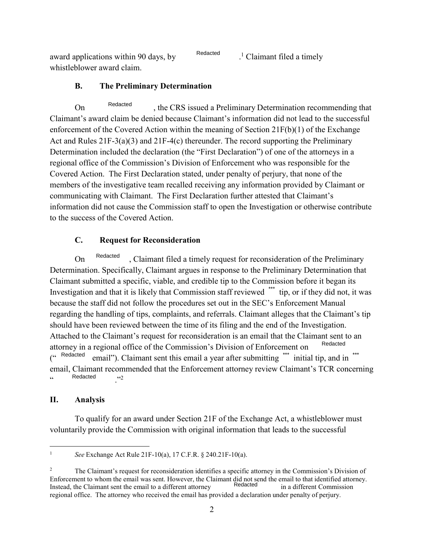award applications within 90 days, by Redacted . 1 Claimant filed a timely whistleblower award claim.

# **B. The Preliminary Determination**

 , the CRS issued a Preliminary Determination recommending that On Redacted Claimant's award claim be denied because Claimant's information did not lead to the successful enforcement of the Covered Action within the meaning of Section 21F(b)(1) of the Exchange Act and Rules 21F-3(a)(3) and 21F-4(c) thereunder. The record supporting the Preliminary Determination included the declaration (the "First Declaration") of one of the attorneys in a regional office of the Commission's Division of Enforcement who was responsible for the Covered Action. The First Declaration stated, under penalty of perjury, that none of the members of the investigative team recalled receiving any information provided by Claimant or communicating with Claimant. The First Declaration further attested that Claimant's information did not cause the Commission staff to open the Investigation or otherwise contribute to the success of the Covered Action.

## **C. Request for Reconsideration**

On <sup>Redacted</sup>, Claimant filed a timely request for reconsideration of the Preliminary Investigation and that it is likely that Commission staff reviewed \*\*\* tip, or if they did not, it was should have been reviewed between the time of its filing and the end of the Investigation. Redacted Determination. Specifically, Claimant argues in response to the Preliminary Determination that Claimant submitted a specific, viable, and credible tip to the Commission before it began its because the staff did not follow the procedures set out in the SEC's Enforcement Manual regarding the handling of tips, complaints, and referrals. Claimant alleges that the Claimant's tip Attached to the Claimant's request for reconsideration is an email that the Claimant sent to an Redacted \*\*\* ("Redacted Redacted email"). Claimant sent this email a year after submitting "" initial tip, and in attorney in a regional office of the Commission's Division of Enforcement on email, Claimant recommended that the Enforcement attorney review Claimant's TCR concerning ., Redacted ,  $,2$ 

### **II. Analysis**

 voluntarily provide the Commission with original information that leads to the successful To qualify for an award under Section 21F of the Exchange Act, a whistleblower must

<sup>1</sup>*See* Exchange Act Rule 21F-10(a), 17 C.F.R. § 240.21F-10(a).

 Enforcement to whom the email was sent. However, the Claimant did not send the email to that identified attorney. regional office. The attorney who received the email has provided a declaration under penalty of perjury. <sup>2</sup> The Claimant's request for reconsideration identifies a specific attorney in the Commission's Division of Redacted Instead, the Claimant sent the email to a different attorney in a different Commission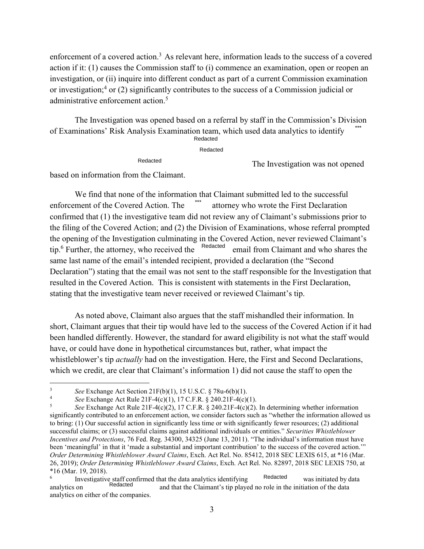enforcement of a covered action.<sup>3</sup> As relevant here, information leads to the success of a covered action if it: (1) causes the Commission staff to (i) commence an examination, open or reopen an investigation, or (ii) inquire into different conduct as part of a current Commission examination or investigation;4 or (2) significantly contributes to the success of a Commission judicial or administrative enforcement action.<sup>5</sup>

of Examinations' Risk Analysis Examination team, which used data analytics to identify<br>
Redacted<br>
Redacted The Investigation was not energy The Investigation was opened based on a referral by staff in the Commission's Division **Redacted** 

Redacted

The Investigation was not opened

based on information from the Claimant.

 Declaration") stating that the email was not sent to the staff responsible for the Investigation that stating that the investigative team never received or reviewed Claimant's tip. We find that none of the information that Claimant submitted led to the successful enforcement of the Covered Action. The \*\*\* attorney who wrote the First Declaration confirmed that (1) the investigative team did not review any of Claimant's submissions prior to the filing of the Covered Action; and (2) the Division of Examinations, whose referral prompted the opening of the Investigation culminating in the Covered Action, never reviewed Claimant's tip.<sup>6</sup> Further, the attorney, who received the <sup>Redacted</sup> email from Claimant and who shares the same last name of the email's intended recipient, provided a declaration (the "Second resulted in the Covered Action. This is consistent with statements in the First Declaration,

 short, Claimant argues that their tip would have led to the success of the Covered Action if it had which we credit, are clear that Claimant's information 1) did not cause the staff to open the As noted above, Claimant also argues that the staff mishandled their information. In been handled differently. However, the standard for award eligibility is not what the staff would have, or could have done in hypothetical circumstances but, rather, what impact the whistleblower's tip *actually* had on the investigation. Here, the First and Second Declarations,

See Exchange Act Section 21F(b)(1), 15 U.S.C. § 78u-6(b)(1).

See Exchange Act Rule 21F-4(c)(1), 17 C.F.R. § 240.21F-4(c)(1).

 *Order Determining Whistleblower Award Claims*, Exch. Act Rel. No. 85412, 2018 SEC LEXIS 615, at \*16 (Mar. 26, 2019); *Order Determining Whistleblower Award Claims*, Exch. Act Rel. No. 82897, 2018 SEC LEXIS 750, at \*16 (Mar. 19, 2018). See Exchange Act Section 21F(b)(1), 15 U.S.C. § 78u-6(b)(1).<br>
See Exchange Act Rule 21F-4(c)(1), 17 C.F.R. § 240.21F-4(c)(1).<br>
See Exchange Act Rule 21F-4(c)(2), 17 C.F.R. § 240.21F-4(c)(2). In determining whether informa significantly contributed to an enforcement action, we consider factors such as "whether the information allowed us to bring: (1) Our successful action in significantly less time or with significantly fewer resources; (2) additional successful claims; or (3) successful claims against additional individuals or entities." *Securities Whistleblower Incentives and Protections*, 76 Fed. Reg. 34300, 34325 (June 13, 2011). "The individual's information must have been 'meaningful' in that it 'made a substantial and important contribution' to the success of the covered action.'"

 $*16$  (Mar. 19, 2018).<br><sup>6</sup> Investigative staff confirmed that the data analytics identifying analytics on either of the companies. Redacted Redacted was initiated by data analytics on **Exercise 2** and that the Claimant's tip played no role in the initiation of the data